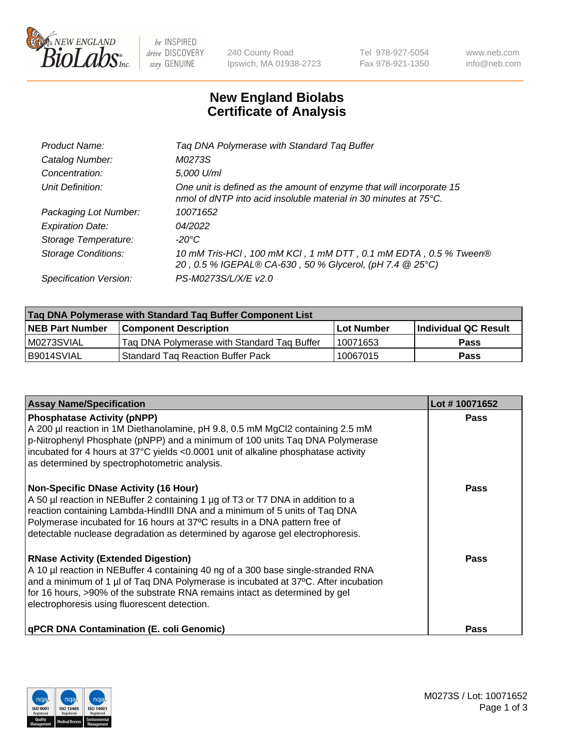

be INSPIRED drive DISCOVERY stay GENUINE

240 County Road Ipswich, MA 01938-2723 Tel 978-927-5054 Fax 978-921-1350 www.neb.com info@neb.com

## **New England Biolabs Certificate of Analysis**

| Product Name:           | Tag DNA Polymerase with Standard Tag Buffer                                                                                                        |
|-------------------------|----------------------------------------------------------------------------------------------------------------------------------------------------|
| Catalog Number:         | M0273S                                                                                                                                             |
| Concentration:          | 5,000 U/ml                                                                                                                                         |
| Unit Definition:        | One unit is defined as the amount of enzyme that will incorporate 15<br>nmol of dNTP into acid insoluble material in 30 minutes at $75^{\circ}$ C. |
| Packaging Lot Number:   | 10071652                                                                                                                                           |
| <b>Expiration Date:</b> | 04/2022                                                                                                                                            |
| Storage Temperature:    | $-20^{\circ}$ C                                                                                                                                    |
| Storage Conditions:     | 10 mM Tris-HCl, 100 mM KCl, 1 mM DTT, 0.1 mM EDTA, 0.5 % Tween®<br>20, 0.5 % IGEPAL® CA-630, 50 % Glycerol, (pH 7.4 @ 25°C)                        |
| Specification Version:  | PS-M0273S/L/X/E v2.0                                                                                                                               |

| Tag DNA Polymerase with Standard Tag Buffer Component List |                                             |                   |                      |  |
|------------------------------------------------------------|---------------------------------------------|-------------------|----------------------|--|
| <b>NEB Part Number</b>                                     | <b>Component Description</b>                | <b>Lot Number</b> | Individual QC Result |  |
| M0273SVIAL                                                 | Tag DNA Polymerase with Standard Tag Buffer | 10071653          | <b>Pass</b>          |  |
| B9014SVIAL                                                 | <b>Standard Tag Reaction Buffer Pack</b>    | 10067015          | <b>Pass</b>          |  |

| <b>Assay Name/Specification</b>                                                                                                                                                                                                                                                                                                                                              | Lot #10071652 |
|------------------------------------------------------------------------------------------------------------------------------------------------------------------------------------------------------------------------------------------------------------------------------------------------------------------------------------------------------------------------------|---------------|
| <b>Phosphatase Activity (pNPP)</b><br>A 200 µl reaction in 1M Diethanolamine, pH 9.8, 0.5 mM MgCl2 containing 2.5 mM<br>p-Nitrophenyl Phosphate (pNPP) and a minimum of 100 units Taq DNA Polymerase<br>incubated for 4 hours at 37°C yields <0.0001 unit of alkaline phosphatase activity<br>as determined by spectrophotometric analysis.                                  | <b>Pass</b>   |
| <b>Non-Specific DNase Activity (16 Hour)</b><br>A 50 µl reaction in NEBuffer 2 containing 1 µg of T3 or T7 DNA in addition to a<br>reaction containing Lambda-HindIII DNA and a minimum of 5 units of Taq DNA<br>Polymerase incubated for 16 hours at 37°C results in a DNA pattern free of<br>detectable nuclease degradation as determined by agarose gel electrophoresis. | Pass          |
| <b>RNase Activity (Extended Digestion)</b><br>A 10 µl reaction in NEBuffer 4 containing 40 ng of a 300 base single-stranded RNA<br>and a minimum of 1 µl of Taq DNA Polymerase is incubated at 37°C. After incubation<br>for 16 hours, >90% of the substrate RNA remains intact as determined by gel<br>electrophoresis using fluorescent detection.                         | Pass          |
| <b>qPCR DNA Contamination (E. coli Genomic)</b>                                                                                                                                                                                                                                                                                                                              | Pass          |

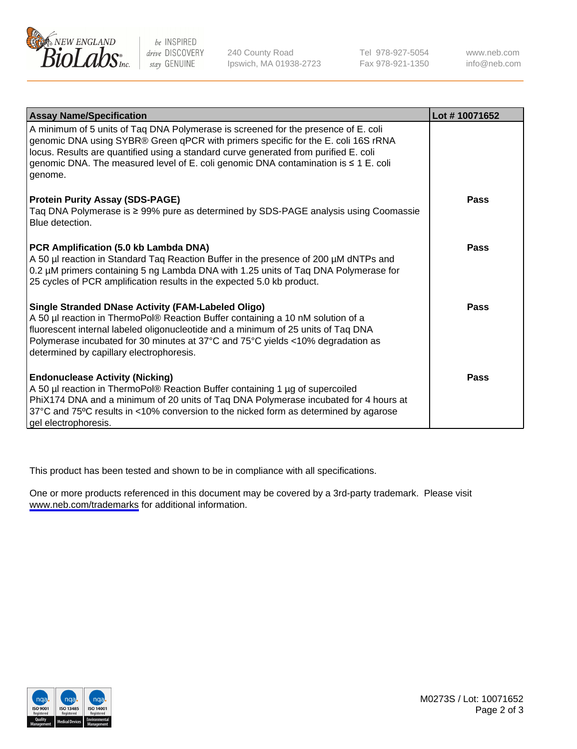

be INSPIRED drive DISCOVERY stay GENUINE

240 County Road Ipswich, MA 01938-2723 Tel 978-927-5054 Fax 978-921-1350

www.neb.com info@neb.com

| <b>Assay Name/Specification</b>                                                                                                                                                                                                                                                                                                                                   | Lot #10071652 |
|-------------------------------------------------------------------------------------------------------------------------------------------------------------------------------------------------------------------------------------------------------------------------------------------------------------------------------------------------------------------|---------------|
| A minimum of 5 units of Taq DNA Polymerase is screened for the presence of E. coli<br>genomic DNA using SYBR® Green qPCR with primers specific for the E. coli 16S rRNA<br>locus. Results are quantified using a standard curve generated from purified E. coli<br>genomic DNA. The measured level of E. coli genomic DNA contamination is ≤ 1 E. coli<br>genome. |               |
| <b>Protein Purity Assay (SDS-PAGE)</b><br>Taq DNA Polymerase is ≥ 99% pure as determined by SDS-PAGE analysis using Coomassie<br>Blue detection.                                                                                                                                                                                                                  | <b>Pass</b>   |
| PCR Amplification (5.0 kb Lambda DNA)<br>A 50 µl reaction in Standard Taq Reaction Buffer in the presence of 200 µM dNTPs and<br>0.2 µM primers containing 5 ng Lambda DNA with 1.25 units of Tag DNA Polymerase for<br>25 cycles of PCR amplification results in the expected 5.0 kb product.                                                                    | <b>Pass</b>   |
| Single Stranded DNase Activity (FAM-Labeled Oligo)<br>A 50 µl reaction in ThermoPol® Reaction Buffer containing a 10 nM solution of a<br>fluorescent internal labeled oligonucleotide and a minimum of 25 units of Taq DNA<br>Polymerase incubated for 30 minutes at 37°C and 75°C yields <10% degradation as<br>determined by capillary electrophoresis.         | <b>Pass</b>   |
| <b>Endonuclease Activity (Nicking)</b><br>A 50 µl reaction in ThermoPol® Reaction Buffer containing 1 µg of supercoiled<br>PhiX174 DNA and a minimum of 20 units of Taq DNA Polymerase incubated for 4 hours at<br>37°C and 75°C results in <10% conversion to the nicked form as determined by agarose<br>gel electrophoresis.                                   | <b>Pass</b>   |

This product has been tested and shown to be in compliance with all specifications.

One or more products referenced in this document may be covered by a 3rd-party trademark. Please visit <www.neb.com/trademarks>for additional information.